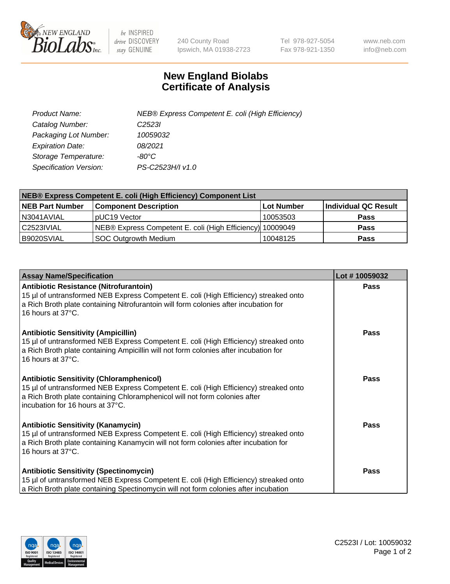

 $be$  INSPIRED drive DISCOVERY stay GENUINE

240 County Road Ipswich, MA 01938-2723 Tel 978-927-5054 Fax 978-921-1350 www.neb.com info@neb.com

## **New England Biolabs Certificate of Analysis**

| Product Name:                 | NEB® Express Competent E. coli (High Efficiency) |
|-------------------------------|--------------------------------------------------|
| Catalog Number:               | C <sub>2523</sub>                                |
| Packaging Lot Number:         | 10059032                                         |
| <b>Expiration Date:</b>       | 08/2021                                          |
| Storage Temperature:          | -80°C                                            |
| <b>Specification Version:</b> | PS-C2523H/I v1.0                                 |

| <b>NEB® Express Competent E. coli (High Efficiency) Component List</b> |                                                           |            |                      |  |
|------------------------------------------------------------------------|-----------------------------------------------------------|------------|----------------------|--|
| <b>NEB Part Number</b>                                                 | <b>Component Description</b>                              | Lot Number | Individual QC Result |  |
| N3041AVIAL                                                             | pUC19 Vector                                              | 10053503   | <b>Pass</b>          |  |
| C <sub>2523</sub> IVIAL                                                | NEB® Express Competent E. coli (High Efficiency) 10009049 |            | <b>Pass</b>          |  |
| B9020SVIAL                                                             | SOC Outgrowth Medium                                      | 10048125   | <b>Pass</b>          |  |

| <b>Assay Name/Specification</b>                                                                                                                                                                                                                           | Lot #10059032 |
|-----------------------------------------------------------------------------------------------------------------------------------------------------------------------------------------------------------------------------------------------------------|---------------|
| <b>Antibiotic Resistance (Nitrofurantoin)</b><br>15 µl of untransformed NEB Express Competent E. coli (High Efficiency) streaked onto<br>a Rich Broth plate containing Nitrofurantoin will form colonies after incubation for<br>16 hours at 37°C.        | Pass          |
| <b>Antibiotic Sensitivity (Ampicillin)</b><br>15 µl of untransformed NEB Express Competent E. coli (High Efficiency) streaked onto<br>a Rich Broth plate containing Ampicillin will not form colonies after incubation for<br>16 hours at 37°C.           | Pass          |
| <b>Antibiotic Sensitivity (Chloramphenicol)</b><br>15 µl of untransformed NEB Express Competent E. coli (High Efficiency) streaked onto<br>a Rich Broth plate containing Chloramphenicol will not form colonies after<br>incubation for 16 hours at 37°C. | Pass          |
| <b>Antibiotic Sensitivity (Kanamycin)</b><br>15 µl of untransformed NEB Express Competent E. coli (High Efficiency) streaked onto<br>a Rich Broth plate containing Kanamycin will not form colonies after incubation for<br>16 hours at 37°C.             | <b>Pass</b>   |
| <b>Antibiotic Sensitivity (Spectinomycin)</b><br>15 µl of untransformed NEB Express Competent E. coli (High Efficiency) streaked onto<br>a Rich Broth plate containing Spectinomycin will not form colonies after incubation                              | Pass          |